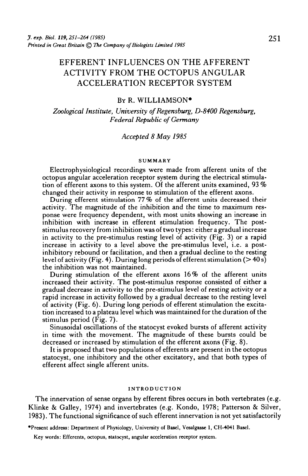# EFFERENT INFLUENCES ON THE AFFERENT ACTIVITY FROM THE OCTOPUS ANGULAR ACCELERATION RECEPTOR SYSTEM

#### BY R. WILLIAMSON\*

*Zoological Institute, University of Regensburg, D-8400 Regensburg, Federal Republic of Germany*

## *Accepted 8 May 1985*

#### SUMMARY

Electrophysiological recordings were made from afferent units of the octopus angular acceleration receptor system during the electrical stimula- tion of efferent axons to this system. Of the afferent units examined, 93 % changed their activity in response to stimulation of the efferent axons.

During efferent stimulation 77 % of the afferent units decreased their activity. The magnitude of the inhibition and the time to maximum res- ponse were frequency dependent, with most units showing an increase in inhibition with increase in efferent stimulation frequency. The post-<br>stimulus recovery from inhibition was of two types: either a gradual increase in activity to the pre-stimulus resting level of activity (Fig. 3) or a rapid increase in activity to a level above the pre-stimulus level, i.e. a post- inhibitory rebound or facilitation, and then a gradual decline to the resting level of activity (Fig. 4). During long periods of efferent stimulation ( $>$  40 s) the inhibition was not maintained.

During stimulation of the efferent axons 16% of the afferent units increased their activity. The post-stimulus response consisted of either a gradual decrease in activity to the pre-stimulus level of resting activity or a rapid increase in activity followed by a gradual decrease to the resting level of activity (Fig. 6). During long periods of efferent stimulation the excita- tion increased to a plateau level which was maintained for the duration of the stimulus period (Fig. 7).

Sinusoidal oscillations of the statocyst evoked bursts of afferent activity in time with the movement. The magnitude of these bursts could be decreased or increased by stimulation of the efferent axons (Fig. 8).

It is proposed that two populations of efferents are present in the octopus statocyst, one inhibitory and the other excitatory, and that both types of efferent affect single afferent units.

#### INTRODUCTION

The innervation of sense organs by efferent fibres occurs in both vertebrates (e.g. Klinke & Galley, 1974) and invertebrates (e.g. Kondo, 1978; Patterson & Silver, 1983). The functional significance of such efferent innervation is not yet satisfactorily

•Present address: Department of Physiology, University of Basel, Vesalgasse 1, CH-4041 Basel.

Key words: Efferents, octopus, statocyst, angular acceleration receptor system.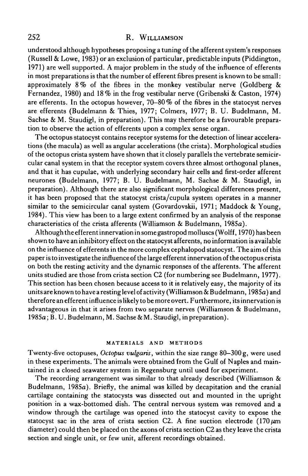understood although hypotheses proposing a tuning of the afferent system's responses (Russell & Lowe, 1983) or an exclusion of particular, predictable inputs (Piddington, 1971) are well supported. A major problem in the study of the influence of efferents in most preparations is that the number of efferent fibres present is known to be small: approximately  $8\%$  of the fibres in the monkey vestibular nerve (Goldberg  $\&$ Fernandez, 1980) and 18% in the frog vestibular nerve (Gribenski & Caston, 1974) are efferents. In the octopus however, 70-80% of the fibres in the statocyst nerves are efferents (Budelmann & Thies, 1977; Colmers, 1977; B. U. Budelmann, M. Sachse & M. Staudigl, in preparation). This may therefore be a favourable preparation to observe the action of efferents upon a complex sense organ.

The octopus statocyst contains receptor systems for the detection of linear accelerations (the macula) as well as angular accelerations (the crista). Morphological studies of the octopus crista system have shown that it closely parallels the vertebrate semicircular canal system in that the receptor system covers three almost orthogonal planes, and that it has cupulae, with underlying secondary hair cells and first-order afferent neurones (Budelmann, 1977; B. U. Budelmann, M. Sachse & M. Staudigl, in preparation). Although there are also significant morphological differences present, it has been proposed that the statocyst crista/cupula system operates in a manner similar to the semicircular canal system (Govardovskii, 1971; Maddock & Young, 1984). This view has been to a large extent confirmed by an analysis of the response characteristics of the crista afferents (Williamson & Budelmann, 1985a).

Although the efferent innervation in some gastropod molluscs (Wolff, 1970) has been shown to have an inhibitory effect on the statocyst afferents, no information is available on the influence of efferents in the more complex cephalopod statocyst. The aim of this paper is to investigate the influence of the large efferent innervation of the octopus crista on both the resting activity and the dynamic responses of the afferents. The afferent units studied are those from crista section C2 (for numbering see Budelmann, 1977). This section has been chosen because access to it is relatively easy, the majority of its units are known to have a resting level of activity (Williamson & Budelmann, 1985a) and therefore an efferent influence is likely to be more overt. Furthermore, its innervation is advantageous in that it arises from two separate nerves (Williamson & Budelmann, 1985a; B. U. Budelmann, M. Sachse & M. Staudigl, in preparation).

#### **MATERIALS AND METHODS**

Twenty-five octopuses, *Octopus vulgaris,* within the size range 80-300 g, were used in these experiments. The animals were obtained from the Gulf of Naples and maintained in a closed seawater system in Regensburg until used for experiment.

The recording arrangement was similar to that already described (Williamson & Budelmann, 1985a). Briefly, the animal was killed by decapitation and the cranial cartilage containing the statocysts was dissected out and mounted in the upright position in a wax-bottomed dish. The central nervous system was removed and a window through the cartilage was opened into the statocyst cavity to expose the statocyst sac in the area of crista section C2. A fine suction electrode  $(170 \,\mu m)$ diameter) could then be placed on the axons of crista section C2 as they leave the crista section and single unit, or few unit, afferent recordings obtained.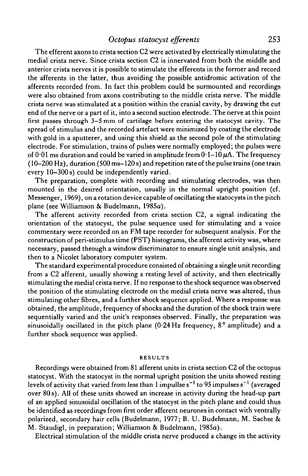## *Octopus statocyst efferents* 253

The efferent axons to crista section C2 were activated by electrically stimulating the medial crista nerve. Since crista section C2 is innervated from both the middle and anterior crista nerves it is possible to stimulate the efferents in the former and record the afferents in the latter, thus avoiding the possible antidromic activation of the afferents recorded from. In fact this problem could be surmounted and recordings were also obtained from axons contributing to the middle crista nerve. The middle crista nerve was stimulated at a position within the cranial cavity, by drawing the cut end of the nerve or a part of it, into a second suction electrode. The nerve at this point first passes through 3—5 mm of cartilage before entering the statocyst cavity. The spread of stimulus and the recorded artefact were minimized by coating the electrode with gold in a sputterer, and using this shield as the second pole of the stimulating electrode. For stimulation, trains of pulses were normally employed; the pulses were of  $0.01$  ms duration and could be varied in amplitude from  $0.1-10 \mu A$ . The frequency (10-200 Hz), duration (500 ms-120 s) and repetition rate of the pulse trains (one train every 10-300 s) could be independently varied.

The preparation, complete with recording and stimulating electrodes, was then mounted in the desired orientation, usually in the normal upright position (cf. Messenger, 1969), on a rotation device capable of oscillating the statocysts in the pitch plane (see Williamson & Budelmann, 1985a).

The afferent activity recorded from crista section C2, a signal indicating the orientation of the statocyst, the pulse sequence used for stimulating and a voice commentary were recorded on an FM tape recorder for subsequent analysis. For the construction of peri-stimulus time (PST) histograms, the afferent activity was, where necessary, passed through a window discriminator to ensure single unit analysis, and then to a Nicolet laboratory computer system.

The standard experimental procedure consisted of obtaining a single unit recording from a C2 afferent, usually showing a resting level of activity, and then electrically stimulating the medial crista nerve. If no response to the shock sequence was observed the position of the stimulating electrode on the medial crista nerve was altered, thus stimulating other fibres, and a further shock sequence applied. Where a response was obtained, the amplitude, frequency of shocks and the duration of the shock train were sequentially varied and the unit's responses observed. Finally, the preparation was sinusoidally oscillated in the pitch plane (0-24 Hz frequency, 8° amplitude) and a further shock sequence was applied.

#### RESULTS

Recordings were obtained from 81 afferent units in crista section C2 of the octopus statocyst. With the statocyst in the normal upright position the units showed resting levels of activity that varied from less than 1 impullse  $s^{-1}$  to 95 impulses  $s^{-1}$  (averaged over 80s). All of these units showed an increase in activity during the head-up part of an applied sinusoidal oscillation of the statocyst in the pitch plane and could thus be identified as recordings from first order afferent neurones in contact with ventrally polarized, secondary hair cells (Budelmann, 1977; B. U. Budelmann, M. Sachse & M. Staudigl, in preparation; Williamson & Budelmann, 1985a).

Electrical stimulation of the middle crista nerve produced a change in the activity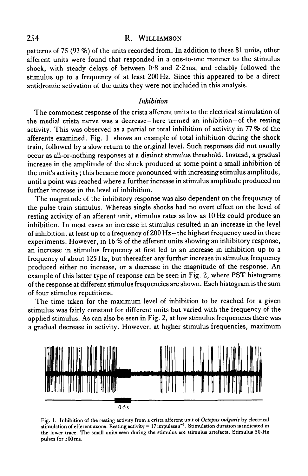patterns of 75 (93 %) of the units recorded from. In addition to these 81 units, other afferent units were found that responded in a one-to-one manner to the stimulus shock, with steady delays of between  $0.8$  and  $2.2$  ms, and reliably followed the stimulus up to a frequency of at least 200 Hz. Since this appeared to be a direct antidromic activation of the units they were not included in this analysis.

## *Inhibition*

The commonest response of the crista afferent units to the electrical stimulation of the medial crista nerve was a decrease - here termed an inhibition-of the resting activity. This was observed as a partial or total inhibition of activity in 77 *%* of the afferents examined. Fig. 1. shows an example of total inhibition during the shock train, followed by a slow return to the original level. Such responses did not usually occur as all-or-nothing responses at a distinct stimulus threshold. Instead, a gradual increase in the amplitude of the shock produced at some point a small inhibition of the unit's activity; this became more pronounced with increasing stimulus amplitude, until a point was reached where a further increase in stimulus amplitude produced no further increase in the level of inhibition.

The magnitude of the inhibitory response was also dependent on the frequency of the pulse train stimulus. Whereas single shocks had no overt effect on the level of resting activity of an afferent unit, stimulus rates as low as 10 Hz could produce an inhibition. In most cases an increase in stimulus resulted in an increase in the level of inhibition, at least up to a frequency of  $200 \text{ Hz}$  – the highest frequency used in these experiments. However, in 16 % of the afferent units showing an inhibitory response, an increase in stimulus frequency at first led to an increase in inhibition up to a frequency of about 125 Hz, but thereafter any further increase in stimulus frequency produced either no increase, or a decrease in the magnitude of the response. An example of this latter type of response can be seen in Fig. 2, where PST histograms of the response at different stimulus frequencies are shown. Each histogram is the sum of four stimulus repetitions.

The time taken for the maximum level of inhibition to be reached for a given stimulus was fairly constant for different units but varied with the frequency of the applied stimulus. As can also be seen in Fig. 2, at low stimulus frequencies there was a gradual decrease in activity. However, at higher stimulus frequencies, maximum



Fig. 1. Inhibition of the resting activity from a crista afferent unit of *Octopus vulgaris* by electrical stimulation of efferent axons. Resting activity =  $17$  impulses  $s^{-1}$ . Stimulation duration is indicated in the lower trace. The small units seen during the stimulus are stimulus artefacts. Stimulus 50-Hz pulses for 500 ms.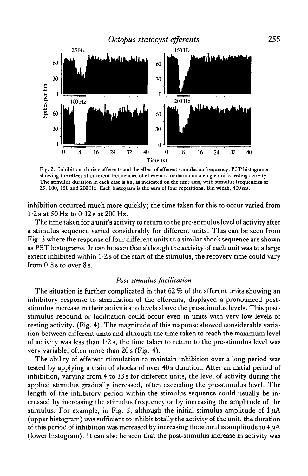

Fig. 2. Inhibition of criata afferents and the effect of efferent stimulation frequency. PST histograms showing the effect of different frequencies of efferent stimulation on a single unit's resting activity. The stimulus duration in each case is 6 s, as indicated on the time axis, with stimulus frequencies of 25, 100, ISO and 200 Hz. Each histogram is the sum of four repetitions. Bin width, 400 ms.

inhibition occurred much more quickly; the time taken for this to occur varied from  $1.2$ s at 50 Hz to  $0.12$ s at 200 Hz.

The time taken for a unit's activity to return to the pre-stimulus level of activity after a stimulus sequence varied considerably for different units. This can be seen from Fig. 3 where the response of four different units to a similar shock sequence are shown as PST histograms. It can be seen that although the activity of each unit was to a large extent inhibited within  $1.2$  s of the start of the stimulus, the recovery time could vary from  $0.8$  s to over  $8$  s.

## *Post-stimulus facilitation*

The situation is further complicated in that  $62\%$  of the afferent units showing an inhibitory response to stimulation of the efferents, displayed a pronounced poststimulus increase in their activities to levels above the pre-stimulus levels. This poststimulus rebound or facilitation could occur even in units with very low levels of resting activity. (Fig. 4). The magnitude of this response showed considerable variation between different units and although the time taken to reach the maximum level of activity was less than  $1.2$ s, the time taken to return to the pre-stimulus level was very variable, often more than 20 s (Fig. 4).

The ability of efferent stimulation to maintain inhibition over a long period was tested by applying a train of shocks of over 40 s duration. After an initial period of inhibition, varying from 4 to 33 s for different units, the level of activity during the applied stimulus gradually increased, often exceeding the pre-stimulus level. The length of the inhibitory period within the stimulus sequence could usually be increased by increasing the stimulus frequency or by increasing the amplitude of the stimulus. For example, in Fig. 5, although the initial stimulus amplitude of  $1 \mu A$ (upper histogram) was sufficient to inhibit totally the activity of the unit, the duration of this period of inhibition was increased by increasing the stimulus amplitude to  $4 \mu A$ (lower histogram). It can also be seen that the post-stimulus increase in activity was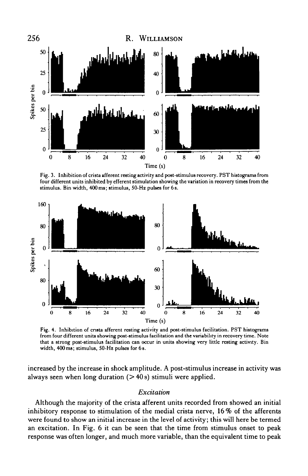

Fig. 3. Inhibition of crista afferent resting activity and post-stimulus recovery. PST histograms from four different units inhibited by efferent stimulation showing the variation in recovery times from the stimulus. Bin width, 4O0ms; stimulus, 50-Hz pulses for 6s.



Fig. 4. Inhibition of crista afferent resting activity and post-stimulus facilitation. PST histograms from four different units showing post-stimulus facilitation and the variability in recovery time. Note that a strong post-stimulus facilitation can occur in units showing very little resting activity. Bin width, 400 ms; stimulus, 50-Hz pulses for 6s.

increased by the increase in shock amplitude. A post-stimulus increase in activity was always seen when long duration  $(> 40 s)$  stimuli were applied.

#### *Excitation*

Although the majority of the crista afferent units recorded from showed an initial inhibitory response to stimulation of the medial crista nerve,  $16\%$  of the afferents were found to show an initial increase in the level of activity; this will here be termed an excitation. In Fig. 6 it can be seen that the time from stimulus onset to peak response was often longer, and much more variable, than the equivalent time to peak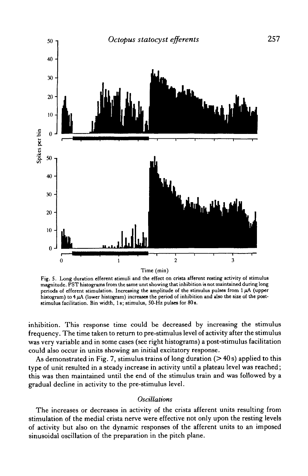

Fig. 5. Long duration efferent stimuli and the effect on crista afferent resting activity of stimulus magnitude. PST histograms from the same unit showing that inhibition is not maintained during long periods of efferent stimulation. Increasing the amplitude of the stimulus pulses from 1 *pA* (upper histogram) to  $4\,\mu$ A (lower histogram) increases the period of inhibition and also the size of the poststimulus facilitation. Bin width, 1 s; stimulus, 50-Hz pulses for 80s.

inhibition. This response time could be decreased by increasing the stimulus frequency. The time taken to return to pre-stimulus level of activity after the stimulus was very variable and in some cases (see right histograms) a post-stimulus facilitation could also occur in units showing an initial excitatory response.

As demonstrated in Fig. 7, stimulus trains of long duration  $($ >40s) applied to this type of unit resulted in a steady increase in activity until a plateau level was reached; this was then maintained until the end of the stimulus train and was followed by a gradual decline in activity to the pre-stimulus level.

#### *Oscillations*

The increases or decreases in activity of the crista afferent units resulting from stimulation of the medial crista nerve were effective not only upon the resting levels of activity but also on the dynamic responses of the afferent units to an imposed sinusoidal oscillation of the preparation in the pitch plane.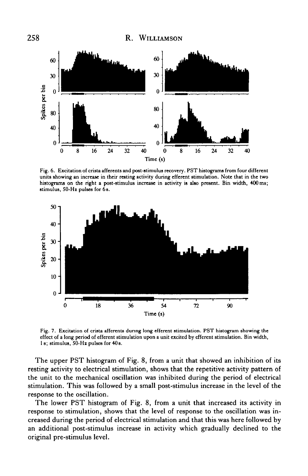

Fig. 6. Excitation of crista afferents and post-stimulus recovery. PST histograms from four different units showing an increase in their resting activity during efferent stimulation. Note that in the two histograms on the right a post-stimulus increase in activity is also present. Bin width, 400 ms; stimulus, 50-Hz pulses for 6 s.



Fig. 7. Excitation of crista afferents during long efferent stimulation. PST histogram showing the effect of a long period of efferent stimulation upon a unit excited by efferent stimulation. Bin width, 1 s; stimulus, 50-Hz pulses for 40 s.

The upper PST histogram of Fig. 8, from a unit that showed an inhibition of its resting activity to electrical stimulation, shows that the repetitive activity pattern of the unit to the mechanical oscillation was inhibited during the period of electrical stimulation. This was followed by a small post-stimulus increase in the level of the response to the oscillation.

The lower PST histogram of Fig. 8, from a unit that increased its activity in response to stimulation, shows that the level of response to the oscillation was increased during the period of electrical stimulation and that this was here followed by an additional post-stimulus increase in activity which gradually declined to the original pre-stimulus level.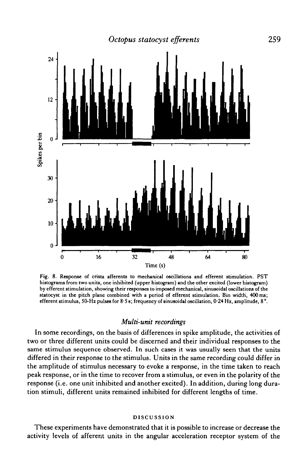

Fig. 8. Response of crista afferents to mechanical oscillations and efferent stimulation. PST histograms from two units, one inhibited (upper histogram) and the other excited (lower histogram) by efferent stimulation, showing their responses to imposed mechanical, sinusoidal oscillations of the statocyst in the pitch plane combined with a period of efferent stimulation. Bin width, 400ma; efferent stimulus, 50-Hz pulses for 8 5 s; frequency of sinusoidal oscillation, 024 Hz, amplitude, 8°.

#### *Multi-unit recordings*

In some recordings, on the basis of differences in spike amplitude, the activities of two or three different units could be discerned and their individual responses to the same stimulus sequence observed. In such cases it was usually seen that the units differed in their response to the stimulus. Units in the same recording could differ in the amplitude of stimulus necessary to evoke a response, in the time taken to reach peak response, or in the time to recover from a stimulus, or even in the polarity of the response (i.e. one unit inhibited and another excited). In addition, during long duration stimuli, different units remained inhibited for different lengths of time.

#### DISCUSSION

These experiments have demonstrated that it is possible to increase or decrease the activity levels of afferent units in the angular acceleration receptor system of the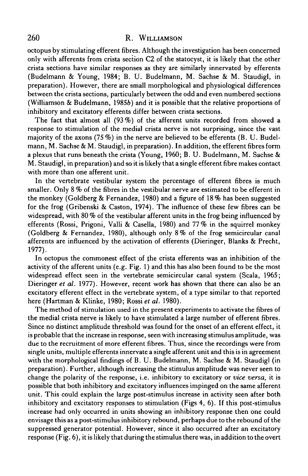octopus by stimulating efferent fibres. Although the investigation has been concerned only with afferents from crista section C2 of the statocyst, it is likely that the other crista sections have similar responses as they are similarly innervated by efferents (Budelmann & Young, 1984; B. U. Budelmann, M. Sachse & M. Staudigl, in preparation). However, there are small morphological and physiological differences between the crista sections, particularly between the odd and even numbered sections (Williamson & Budelmann, 19856) and it is possible that the relative proportions of inhibitory and excitatory efferents differ between crista sections.

The fact that almost all  $(93\%)$  of the afferent units recorded from showed a response to stimulation of the medial crista nerve is not surprising, since the vast majority of the axons (75 *%)* in the nerve are believed to be efferents (B. U. Budelmann, M. Sachse & M. Staudigl, in preparation). In addition, the efferent fibres form a plexus that runs beneath the crista (Young, I960; B. U. Budelmann, M. Sachse & M. Staudigl, in preparation) and so it is likely that a single efferent fibre makes contact with more than one afferent unit.

In the vertebrate vestibular system the percentage of efferent fibres is much smaller. Only 8 % of the fibres in the vestibular nerve are estimated to be efferent in the monkey (Goldberg & Fernandez, 1980) and a figure of 18 % has been suggested for the frog (Gribenski & Caston, 1974). The influence of these few fibres can be widespread, with 80 % of the vestibular afferent units in the frog being influenced by efferents (Rossi, Prigoni, Valli & Casella, 1980) and 77% in the squirrel monkey (Goldberg & Fernandez, 1980), although only 8% of the frog semicircular canal afferents are influenced by the activation of efferents (Dieringer, Blanks & Precht, 1977).

In octopus the commonest effect of the crista efferents was an inhibition of the activity of the afferent units (e.g. Fig. 1) and this has also been found to be the most widespread effect seen in the vertebrate semicircular canal system (Scala, 1965; Dieringer *et al.* 1977). However, recent work has shown that there can also be an excitatory efferent effect in the vertebrate system, of a type similar to that reported here (Hartman & Klinke, 1980; Rossi *et al.* 1980).

The method of stimulation used in the present experiments to activate the fibres of the medial crista nerve is likely to have stimulated a large number of efferent fibres. Since no distinct amplitude threshold was found for the onset of an efferent effect, it is probable that the increase in response, seen with increasing stimulus amplitude, was due to the recruitment of more efferent fibres. Thus, since the recordings were from single units, multiple efferents innervate a single afferent unit and this is in agreement with the morphological findings of B. U. Budelmann, M. Sachse & M. Staudigl (in preparation). Further, although increasing the stimulus amplitude was never seen to change the polarity of the response, i.e. inhibitory to excitatory or *vice versa,* it is possible that both inhibitory and excitatory influences impinged on the same afferent unit. This could explain the large post-stimulus increase in activity seen after both inhibitory and excitatory responses to stimulation (Figs 4, 6). If this post-stimulus increase had only occurred in units showing an inhibitory response then one could envisage this as a post-stimulus inhibitory rebound, perhaps due to the rebound of the suppressed generator potential. However, since it also occurred after an excitatory response (Fig. 6), it is likely that during the stimulus there was, in addition to the overt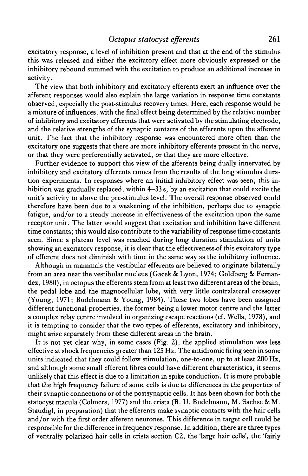excitatory response, a level of inhibition present and that at the end of the stimulus this was released and either the excitatory effect more obviously expressed or the inhibitory rebound summed with the excitation to produce an additional increase in activity.

The view that both inhibitory and excitatory efferents exert an influence over the afferent responses would also explain the large variation in response time constants observed, especially the post-stimulus recovery times. Here, each response would be a mixture of influences, with the final effect being determined by the relative number of inhibitory and excitatory efferents that were activated by the stimulating electrode, and the relative strengths of the synaptic contacts of the efferents upon the afferent unit. The fact that the inhibitory response was encountered more often than the excitatory one suggests that there are more inhibitory efferents present in the nerve, or that they were preferentially activated, or that they are more effective.

Further evidence to support this view of the afferents being dually innervated by inhibitory and excitatory efferents comes from the results of the long stimulus duration experiments. In responses where an initial inhibitory effect was seen, this inhibition was gradually replaced, within 4-33 s, by an excitation that could excite the unit's activity to above the pre-stimulus level. The overall response observed could therefore have been due to a weakening of the inhibition, perhaps due to synaptic fatigue, and/or to a steady increase in effectiveness of the excitation upon the same receptor unit. The latter would suggest that excitation and inhibition have different time constants; this would also contribute to the variability of response time constants seen. Since a plateau level was reached during long duration stimulation of units showing an excitatory response, it is clear that the effectiveness of this excitatory type of efferent does not diminish with time in the same way as the inhibitory influence.

Although in mammals the vestibular efferents are believed to originate bilaterally from an area near the vestibular nucleus (Gacek & Lyon, 1974; Goldberg & Fernandez, 1980), in octopus the efferents stem from at least two different areas of the brain, the pedal lobe and the magnocellular lobe, with very little contralateral crossover (Young, 1971; Budelmann & Young, 1984). These two lobes have been assigned different functional properties, the former being a lower motor centre and the latter a complex relay centre involved in organizing escape reactions (cf. Wells, 1978), and it is tempting to consider that the two types of efferents, excitatory and inhibitory, might arise separately from these different areas in the brain.

It is not yet clear why, in some cases (Fig. 2), the applied stimulation was less effective at shock frequencies greater than 125 Hz. The antidromic firing seen in some units indicated that they could follow stimulation, one-to-one, up to at least 200 Hz, and although some small efferent fibres could have different characteristics, it seems unlikely that this effect is due to a limitation in spike conduction. It is more probable that the high frequency failure of some cells is due to differences in the properties of their synaptic connections or of the postsynaptic cells. It has been shown for both the statocyst macula (Colmers, 1977) and the crista (B. U. Budelmann, M. Sachse & M. Staudigl, in preparation) that the efferents make synaptic contacts with the hair cells and/or with the first order afferent neurones. This difference in target cell could be responsible for the difference in frequency response. In addition, there are three types of ventrally polarized hair cells in crista section C2, the 'large hair cells', the 'fairly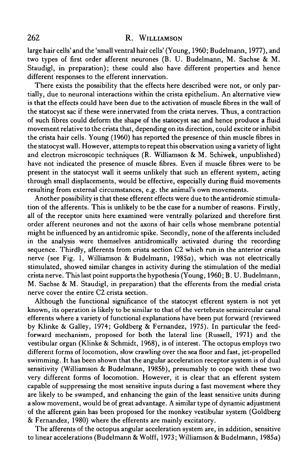large hair cells'and the'small ventral hair cells' (Young, 1960; Budelmann, 1977), and two types of first order afferent neurones (B. U. Budelmann, M. Sachse & M. Staudigl, in preparation); these could also have different properties and hence different responses to the efferent innervation.

There exists the possibility that the effects here described were not, or only partially, due to neuronal interactions within the crista epithelium. An alternative view is that the effects could have been due to the activation of muscle fibres in the wall of the statocyst sac if these were innervated from the crista nerves. Thus, a contraction of such fibres could deform the shape of the statocyst sac and hence produce a fluid movement relative to the crista that, depending on its direction, could excite or inhibit the crista hair cells. Young (1960) has reported the presence of thin muscle fibres in the statocyst wall. However, attempts to repeat this observation using a variety of light and electron microscopic techniques  $(R.$  Williamson & M. Schiwek, unpublished) have not indicated the presence of muscle fibres. Even if muscle fibres were to be present in the statocyst wall it seems unlikely that such an efferent system, acting through small displacements, would be effective, especially during fluid movements resulting from external circumstances, e.g. the animal's own movements.

Another possibility is that these efferent effects were due to the antidromic stimulation of the afferents. This is unlikely to be the case for a number of reasons. Firstly, all of the receptor units here examined were ventrally polarized and therefore first order afferent neurones and not the axons of hair cells whose membrane potential might be influenced by an antidromic spike. Secondly, none of the afferents included in the analysis were themselves antidromically activated during the recording sequence. Thirdly, afferents from crista section C2 which run in the anterior crista nerve (see Fig. 1, Williamson & Budelmann, 1985a), which was not electrically stimulated, showed similar changes in activity during the stimulation of the medial crista nerve. This last point supports the hypothesis (Young, 1960; B. U. Budelmann, M. Sachse & M. Staudigl, in preparation) that the efferents from the medial crista nerve cover the entire C2 crista section.

Although the functional significance of the statocyst efferent system is not yet known, its operation is likely to be similar to that of the vertebrate semicircular canal efferents where a variety of functional explanations have been put forward (reviewed by Klinke & Galley, 1974; Goldberg & Fernandez, 1975). In particular the feedforward mechanism, proposed for both the lateral line (Russell, 1971) and the vestibular organ (Klinke & Schmidt, 1968), is of interest. The octopus employs two different forms of locomotion, slow crawling over the sea floor and fast, jet-propelled swimming. It has been shown that the angular acceleration receptor system is of dual sensitivity (Williamson & Budelmann, 19856), presumably to cope with these two very different forms of locomotion. However, it is clear that an efferent system capable of suppressing the most sensitive inputs during a fast movement where they are likely to be swamped, and enhancing the gain of the least sensitive units during a slow movement, would be of great advantage. A similar type of dynamic adjustment of the afferent gain has been proposed for the monkey vestibular system (Goldberg & Fernandez, 1980) where the efferents are mainly excitatory.

The afferents of the octopus angular acceleration system are, in addition, sensitive to linear accelerations (Budelmann & Wolff, 1973; Williamson & Budelmann, 1985a)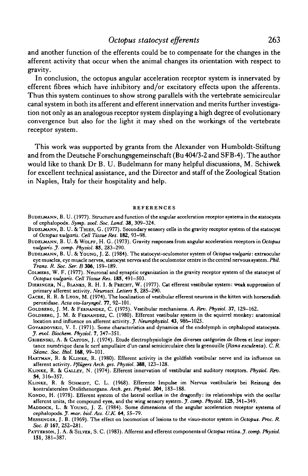and another function of the efferents could be to compensate for the changes in the afferent activity that occur when the animal changes its orientation with respect to gravity.

In conclusion, the octopus angular acceleration receptor system is innervated by efferent fibres which have inhibitory and/or excitatory effects upon the afferents. Thus this system continues to show strong parallels with the vertebrate semicircular canal system in both its afferent and efferent innervation and merits further investigation not only as an analogous receptor system displaying a high degree of evolutionary convergence but also for the light it may shed on the workings of the vertebrate receptor system.

This work was supported by grants from the Alexander von Humboldt-Stiftung and from the Deutsche Forschungsgemeinschaft (Bu 404/3-2 and SFB-4). The author would like to thank Dr B. U. Budelmann for many helpful discussions, M. Schiwek for excellent technical assistance, and the Director and staff of the Zoological Station in Naples, Italy for their hospitality and help.

#### **REFERENCES**

- BUDELMANN, B. U. (1977). Structure and function of the angular acceleration receptor systems in the statocysts of cephalopoda. *Symp. zoo!. Soc. Land.* **38,** 309-324.
- BUDELMANN, B. U. & THIES, G. (1977). Secondary sensory cells in the gravity receptor system of the statocyst of *Octopus vulgaris. Cell Tissue Res.* **182,** 93-98.
- BUDELMANN, B. U. & WOLFF, H. G. (1973). Gravity responses from angular acceleration receptors in *Octopus vulgaris. J. comp. Physiol.* **85,** 283-290.
- BUDELMANN, B. U. & YOUNG, J. Z. (1984). The statocyst-oculomotor system of *Octopus vulgaris*: cxtraocular eye muscles, eye muscle nerves, statocyst nerves and the oculomotor centre in the central nervous system. *Phil. Trans. R. Soc. Ser. B* **306,** 159-189.
- COLMERS, W. F. (1977). Neuronal and synaptic organization in the gravity receptor system of the statocyst of *Octopus vulgaris. Cell Tissue Res.* **185,** 491-503.
- DIERINGER, N., BLANKS, R. H. I. & PRECHT, W. (1977). Cat efferent vestibular system: weak suppression of primary afferent activity. *Neurosci. Letters* 5, 285—290.
- GACEK, R. R. & LYON, M. (1974). The localization of vestibular efferent neurons in the kitten with horseradish peroxidase. Acta oto-laryngol. 77, 92-101.
- GOLDBERG, J. M. & FERNANDEZ, C. (1975). Vestibular mechanisms. A *Rev. Physiol.* 37, 129-162.
- GOLDBERG, J. M. & FERNANDEZ, C. (1980). Efferent vestibular system in the squirrel monkey: anatomical location and influence on afferent activity. *J. Neurophysiol.* **43,** 986—1025.
- GOVARDOVSKII, V. I. (1971). Some characteristics and dynamics of the endolymph in cephalopod statocysts. *J. evol. Biochem. Physiol.* 7, 347-351.
- GRIBENSKI, A. & CASTON, J. (1974). Etude électrophysiologie des diverses catégories de fibres et leur importance num£rique dans le nerf ampullaire d'un canal semicirculaire chez la grenouille *(Rana esculenta). C. R. Seanc. Soc. Biol.* **168,** 99-101.
- HARTMAN, R. & KIJNKE, R. (1980). Efferent activity in the goldfish vestibular nerve and its influence on afferent activity. *Pftugers Arch, ges. Physiol.* **388,** 123-128.
- KLINKE, R. & GALLEY, N. (1974). Efferent innervation of vestibular and auditory receptors. *Physiol. Rev.* **54,** 316-357.
- KLINKE, R. & SCHMIDT, C. L. (1968). Efferente Impulse im Nervus vestibularis bei Reizung des kontralateralen Otolithenorgans. *Arch. ges. Physiol.* **304,** 183-188.
- KONDO, H. (1978). Efferent system of the lateral ocellus in the dragonfly: its relationships with the ocellar afferent units, the compound eyes, and the wing sensory system..?, *comp. Physiol.* **125,** 341—349.
- MADDOCK, L. & YOUNG, J. Z. (1984). Some dimensions of the angular acceleration receptor systems of cephalopoda. *J. mar. biol. Ass. UJC* **64,** 55-79.
- MESSENGER, J. B. (1969). The effect on locomotion of lesions to the visuo-motor system in *Octopus. Proc. R. Soc.B* **167,** 252-281.
- PATTERSON, J. A. & SILVER, S. C. (1983). Afferent and efferent components of *Octopus retina. J. comp. Physiol.* **151,** 381-387.